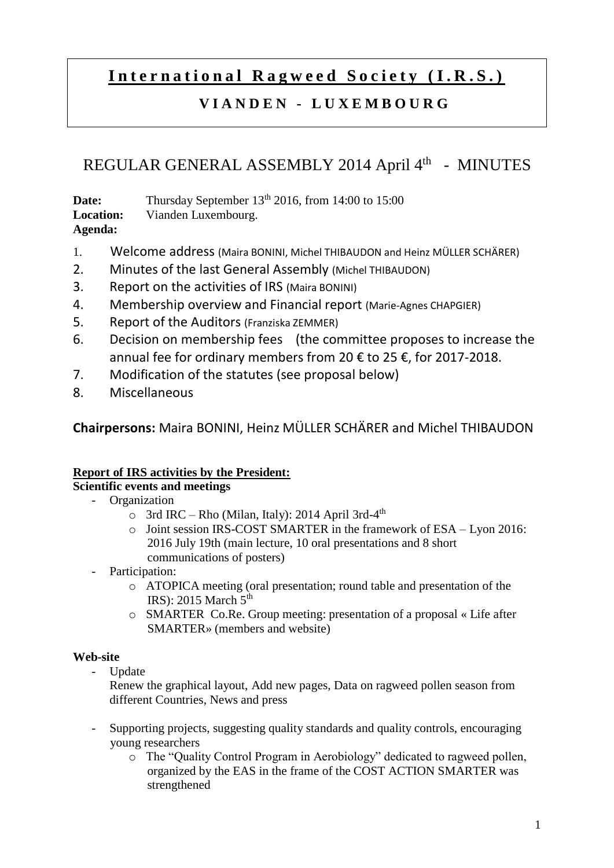# International Ragweed Society (I.R.S.)

# **V I A N D E N - L U X E M B O U R G**

# REGULAR GENERAL ASSEMBLY 2014 April 4<sup>th</sup> - MINUTES

**Date:** Thursday September 13<sup>th</sup> 2016, from 14:00 to 15:00 **Location:** Vianden Luxembourg. **Agenda:** 

- 1. Welcome address (Maira BONINI, Michel THIBAUDON and Heinz MÜLLER SCHÄRER)
- 2. Minutes of the last General Assembly (Michel THIBAUDON)
- 3. Report on the activities of IRS (Maira BONINI)
- 4. Membership overview and Financial report (Marie-Agnes CHAPGIER)
- 5. Report of the Auditors (Franziska ZEMMER)
- 6. Decision on membership fees (the committee proposes to increase the annual fee for ordinary members from 20 € to 25 €, for 2017-2018.
- 7. Modification of the statutes (see proposal below)
- 8. Miscellaneous

**Chairpersons:** Maira BONINI, Heinz MÜLLER SCHÄRER and Michel THIBAUDON

## **Report of IRS activities by the President:**

## **Scientific events and meetings**

- Organization
	- $\circ$  3rd IRC Rho (Milan, Italy): 2014 April 3rd-4<sup>th</sup>
	- o Joint session IRS-COST SMARTER in the framework of ESA Lyon 2016: 2016 July 19th (main lecture, 10 oral presentations and 8 short communications of posters)
	- Participation:
		- o ATOPICA meeting (oral presentation; round table and presentation of the IRS): 2015 March  $5<sup>th</sup>$
		- o SMARTER Co.Re. Group meeting: presentation of a proposal « Life after SMARTER» (members and website)

## **Web-site**

**Update** 

Renew the graphical layout, Add new pages, Data on ragweed pollen season from different Countries, News and press

- Supporting projects, suggesting quality standards and quality controls, encouraging young researchers
	- o The "Quality Control Program in Aerobiology" dedicated to ragweed pollen, organized by the EAS in the frame of the COST ACTION SMARTER was strengthened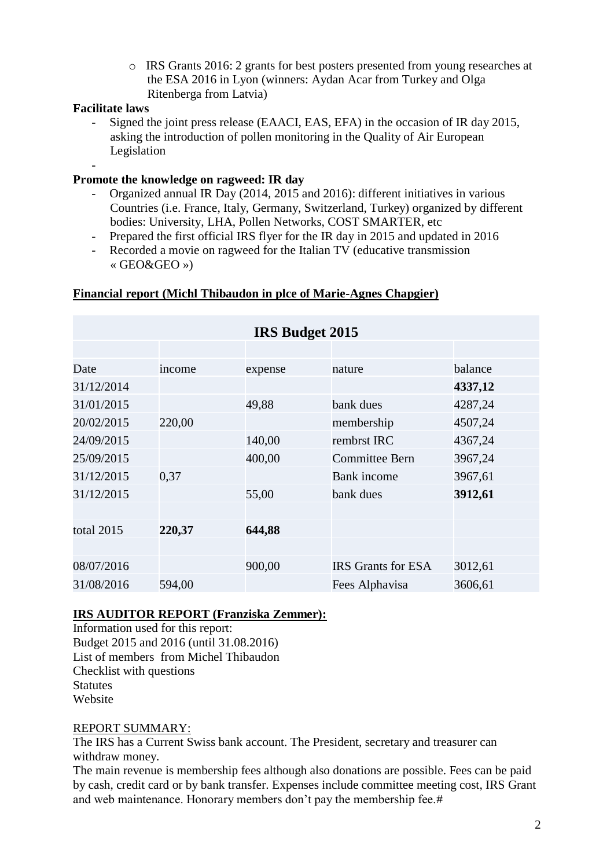o IRS Grants 2016: 2 grants for best posters presented from young researches at the ESA 2016 in Lyon (winners: Aydan Acar from Turkey and Olga Ritenberga from Latvia)

#### **Facilitate laws**

-

- Signed the joint press release (EAACI, EAS, EFA) in the occasion of IR day 2015, asking the introduction of pollen monitoring in the Quality of Air European Legislation

#### **Promote the knowledge on ragweed: IR day**

- Organized annual IR Day (2014, 2015 and 2016): different initiatives in various Countries (i.e. France, Italy, Germany, Switzerland, Turkey) organized by different bodies: University, LHA, Pollen Networks, COST SMARTER, etc
- Prepared the first official IRS flyer for the IR day in 2015 and updated in 2016
- Recorded a movie on ragweed for the Italian TV (educative transmission « GEO&GEO »)

#### **Financial report (Michl Thibaudon in plce of Marie-Agnes Chapgier)**

| <b>IRS Budget 2015</b> |        |         |                           |         |
|------------------------|--------|---------|---------------------------|---------|
|                        |        |         |                           |         |
| Date                   | income | expense | nature                    | balance |
| 31/12/2014             |        |         |                           | 4337,12 |
| 31/01/2015             |        | 49,88   | bank dues                 | 4287,24 |
| 20/02/2015             | 220,00 |         | membership                | 4507,24 |
| 24/09/2015             |        | 140,00  | rembrst IRC               | 4367,24 |
| 25/09/2015             |        | 400,00  | Committee Bern            | 3967,24 |
| 31/12/2015             | 0,37   |         | <b>Bank</b> income        | 3967,61 |
| 31/12/2015             |        | 55,00   | bank dues                 | 3912,61 |
|                        |        |         |                           |         |
| total 2015             | 220,37 | 644,88  |                           |         |
|                        |        |         |                           |         |
| 08/07/2016             |        | 900,00  | <b>IRS</b> Grants for ESA | 3012,61 |
| 31/08/2016             | 594,00 |         | Fees Alphavisa            | 3606,61 |

#### **IRS AUDITOR REPORT (Franziska Zemmer):**

Information used for this report: Budget 2015 and 2016 (until 31.08.2016) List of members from Michel Thibaudon Checklist with questions **Statutes** Website

#### REPORT SUMMARY:

The IRS has a Current Swiss bank account. The President, secretary and treasurer can withdraw money.

The main revenue is membership fees although also donations are possible. Fees can be paid by cash, credit card or by bank transfer. Expenses include committee meeting cost, IRS Grant and web maintenance. Honorary members don't pay the membership fee.#